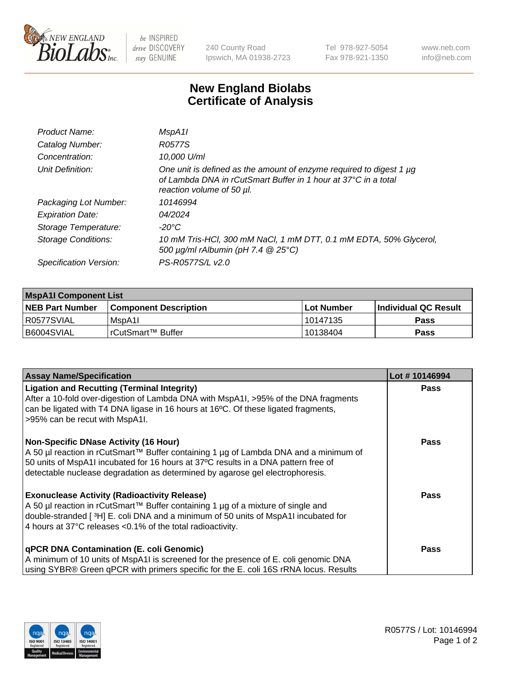

be INSPIRED drive DISCOVERY stay GENUINE

240 County Road Ipswich, MA 01938-2723 Tel 978-927-5054 Fax 978-921-1350 www.neb.com info@neb.com

## **New England Biolabs Certificate of Analysis**

| Product Name:           | MspA11                                                                                                                                                             |
|-------------------------|--------------------------------------------------------------------------------------------------------------------------------------------------------------------|
| Catalog Number:         | R0577S                                                                                                                                                             |
| Concentration:          | 10,000 U/ml                                                                                                                                                        |
| Unit Definition:        | One unit is defined as the amount of enzyme required to digest 1 µg<br>of Lambda DNA in rCutSmart Buffer in 1 hour at 37°C in a total<br>reaction volume of 50 µl. |
| Packaging Lot Number:   | 10146994                                                                                                                                                           |
| <b>Expiration Date:</b> | 04/2024                                                                                                                                                            |
| Storage Temperature:    | -20°C                                                                                                                                                              |
| Storage Conditions:     | 10 mM Tris-HCl, 300 mM NaCl, 1 mM DTT, 0.1 mM EDTA, 50% Glycerol,<br>500 μg/ml rAlbumin (pH 7.4 @ 25°C)                                                            |
| Specification Version:  | PS-R0577S/L v2.0                                                                                                                                                   |
|                         |                                                                                                                                                                    |

| <b>MspA1I Component List</b> |                         |              |                             |  |
|------------------------------|-------------------------|--------------|-----------------------------|--|
| <b>NEB Part Number</b>       | l Component Description | l Lot Number | <b>Individual QC Result</b> |  |
| R0577SVIAL                   | MspA11                  | l 10147135   | Pass                        |  |
| B6004SVIAL                   | l rCutSmart™ Buffer     | 10138404     | <b>Pass</b>                 |  |

| <b>Assay Name/Specification</b>                                                                                                                                                                                                                                                                        | Lot #10146994 |
|--------------------------------------------------------------------------------------------------------------------------------------------------------------------------------------------------------------------------------------------------------------------------------------------------------|---------------|
| <b>Ligation and Recutting (Terminal Integrity)</b><br>After a 10-fold over-digestion of Lambda DNA with MspA1I, >95% of the DNA fragments<br>can be ligated with T4 DNA ligase in 16 hours at 16 $\degree$ C. Of these ligated fragments,<br>>95% can be recut with MspA1I.                            | <b>Pass</b>   |
| Non-Specific DNase Activity (16 Hour)<br>  A 50 µl reaction in rCutSmart™ Buffer containing 1 µg of Lambda DNA and a minimum of<br>50 units of MspA1I incubated for 16 hours at 37°C results in a DNA pattern free of<br>detectable nuclease degradation as determined by agarose gel electrophoresis. | <b>Pass</b>   |
| <b>Exonuclease Activity (Radioactivity Release)</b><br>A 50 µl reaction in rCutSmart™ Buffer containing 1 µg of a mixture of single and<br>double-stranded [3H] E. coli DNA and a minimum of 50 units of MspA1I incubated for<br>4 hours at 37°C releases < 0.1% of the total radioactivity.           | <b>Pass</b>   |
| <b>qPCR DNA Contamination (E. coli Genomic)</b><br>A minimum of 10 units of MspA1I is screened for the presence of E. coli genomic DNA<br>using SYBR® Green qPCR with primers specific for the E. coli 16S rRNA locus. Results                                                                         | <b>Pass</b>   |